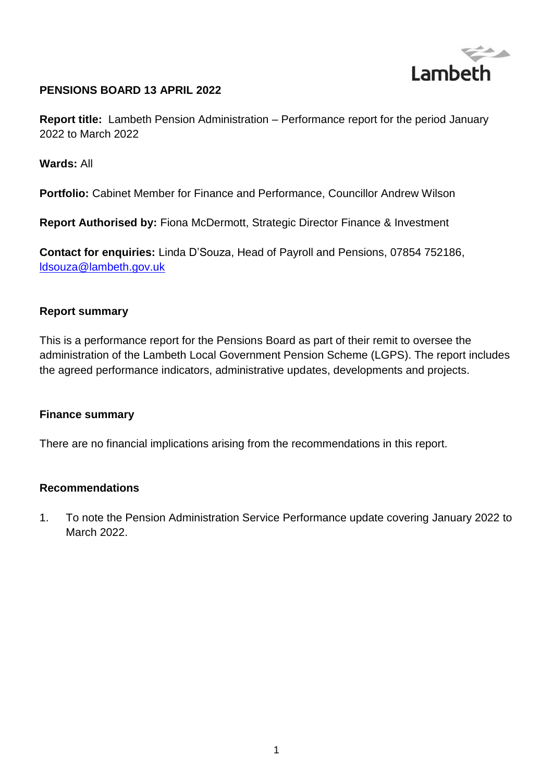

### **PENSIONS BOARD 13 APRIL 2022**

**Report title:** Lambeth Pension Administration – Performance report for the period January 2022 to March 2022

#### **Wards:** All

**Portfolio:** Cabinet Member for Finance and Performance, Councillor Andrew Wilson

**Report Authorised by:** Fiona McDermott, Strategic Director Finance & Investment

**Contact for enquiries:** Linda D'Souza, Head of Payroll and Pensions, 07854 752186, [ldsouza@lambeth.gov.uk](mailto:ldsouza@lambeth.gov.uk)

#### **Report summary**

This is a performance report for the Pensions Board as part of their remit to oversee the administration of the Lambeth Local Government Pension Scheme (LGPS). The report includes the agreed performance indicators, administrative updates, developments and projects.

#### **Finance summary**

There are no financial implications arising from the recommendations in this report.

#### **Recommendations**

1. To note the Pension Administration Service Performance update covering January 2022 to March 2022.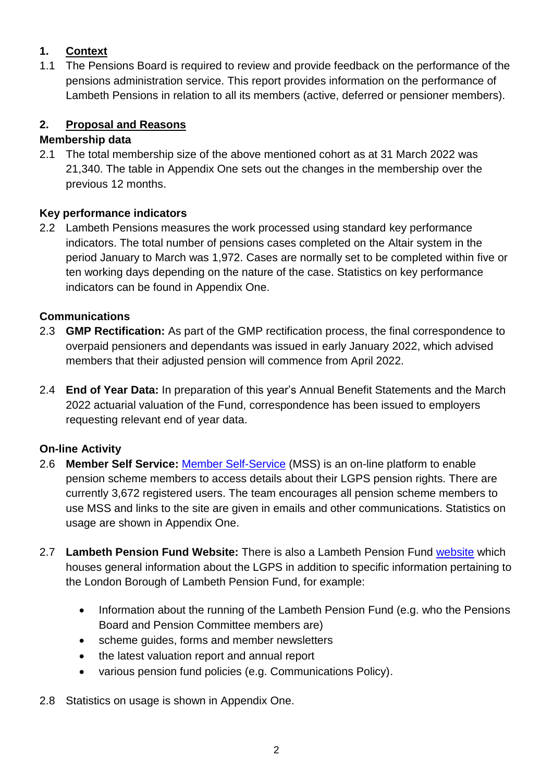# **1. Context**

1.1 The Pensions Board is required to review and provide feedback on the performance of the pensions administration service. This report provides information on the performance of Lambeth Pensions in relation to all its members (active, deferred or pensioner members).

# **2. Proposal and Reasons**

### **Membership data**

2.1 The total membership size of the above mentioned cohort as at 31 March 2022 was 21,340. The table in Appendix One sets out the changes in the membership over the previous 12 months.

## **Key performance indicators**

2.2 Lambeth Pensions measures the work processed using standard key performance indicators. The total number of pensions cases completed on the Altair system in the period January to March was 1,972. Cases are normally set to be completed within five or ten working days depending on the nature of the case. Statistics on key performance indicators can be found in Appendix One.

## **Communications**

- 2.3 **GMP Rectification:** As part of the GMP rectification process, the final correspondence to overpaid pensioners and dependants was issued in early January 2022, which advised members that their adjusted pension will commence from April 2022.
- 2.4 **End of Year Data:** In preparation of this year's Annual Benefit Statements and the March 2022 actuarial valuation of the Fund, correspondence has been issued to employers requesting relevant end of year data.

# **On-line Activity**

- 2.6 **Member Self Service:** [Member Self-Service](https://pensions.lambeth.gov.uk/) (MSS) is an on-line platform to enable pension scheme members to access details about their LGPS pension rights. There are currently 3,672 registered users. The team encourages all pension scheme members to use MSS and links to the site are given in emails and other communications. Statistics on usage are shown in Appendix One.
- 2.7 **Lambeth Pension Fund Website:** There is also a Lambeth Pension Fund [website](https://www.lgpslambeth.org/) which houses general information about the LGPS in addition to specific information pertaining to the London Borough of Lambeth Pension Fund, for example:
	- Information about the running of the Lambeth Pension Fund (e.g. who the Pensions Board and Pension Committee members are)
	- scheme guides, forms and member newsletters
	- the latest valuation report and annual report
	- various pension fund policies (e.g. Communications Policy).
- 2.8 Statistics on usage is shown in Appendix One.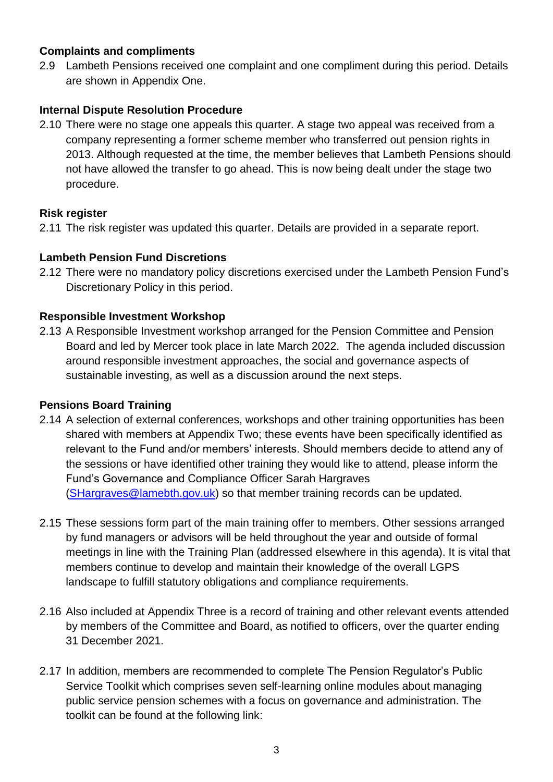#### **Complaints and compliments**

2.9 Lambeth Pensions received one complaint and one compliment during this period. Details are shown in Appendix One.

#### **Internal Dispute Resolution Procedure**

2.10 There were no stage one appeals this quarter. A stage two appeal was received from a company representing a former scheme member who transferred out pension rights in 2013. Although requested at the time, the member believes that Lambeth Pensions should not have allowed the transfer to go ahead. This is now being dealt under the stage two procedure.

#### **Risk register**

2.11 The risk register was updated this quarter. Details are provided in a separate report.

#### **Lambeth Pension Fund Discretions**

2.12 There were no mandatory policy discretions exercised under the Lambeth Pension Fund's Discretionary Policy in this period.

#### **Responsible Investment Workshop**

2.13 A Responsible Investment workshop arranged for the Pension Committee and Pension Board and led by Mercer took place in late March 2022. The agenda included discussion around responsible investment approaches, the social and governance aspects of sustainable investing, as well as a discussion around the next steps.

#### **Pensions Board Training**

- 2.14 A selection of external conferences, workshops and other training opportunities has been shared with members at Appendix Two; these events have been specifically identified as relevant to the Fund and/or members' interests. Should members decide to attend any of the sessions or have identified other training they would like to attend, please inform the Fund's Governance and Compliance Officer Sarah Hargraves [\(SHargraves@lamebth.gov.uk\)](mailto:SHargraves@lamebth.gov.uk) so that member training records can be updated.
- 2.15 These sessions form part of the main training offer to members. Other sessions arranged by fund managers or advisors will be held throughout the year and outside of formal meetings in line with the Training Plan (addressed elsewhere in this agenda). It is vital that members continue to develop and maintain their knowledge of the overall LGPS landscape to fulfill statutory obligations and compliance requirements.
- 2.16 Also included at Appendix Three is a record of training and other relevant events attended by members of the Committee and Board, as notified to officers, over the quarter ending 31 December 2021.
- 2.17 In addition, members are recommended to complete The Pension Regulator's Public Service Toolkit which comprises seven self-learning online modules about managing public service pension schemes with a focus on governance and administration. The toolkit can be found at the following link: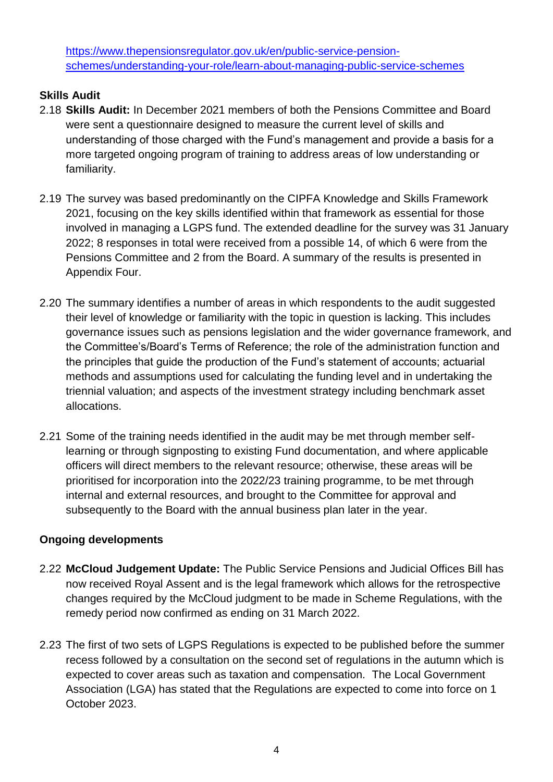[https://www.thepensionsregulator.gov.uk/en/public-service-pension](https://www.thepensionsregulator.gov.uk/en/public-service-pension-schemes/understanding-your-role/learn-about-managing-public-service-schemes)[schemes/understanding-your-role/learn-about-managing-public-service-schemes](https://www.thepensionsregulator.gov.uk/en/public-service-pension-schemes/understanding-your-role/learn-about-managing-public-service-schemes) 

## **Skills Audit**

- 2.18 **Skills Audit:** In December 2021 members of both the Pensions Committee and Board were sent a questionnaire designed to measure the current level of skills and understanding of those charged with the Fund's management and provide a basis for a more targeted ongoing program of training to address areas of low understanding or familiarity.
- 2.19 The survey was based predominantly on the CIPFA Knowledge and Skills Framework 2021, focusing on the key skills identified within that framework as essential for those involved in managing a LGPS fund. The extended deadline for the survey was 31 January 2022; 8 responses in total were received from a possible 14, of which 6 were from the Pensions Committee and 2 from the Board. A summary of the results is presented in Appendix Four.
- 2.20 The summary identifies a number of areas in which respondents to the audit suggested their level of knowledge or familiarity with the topic in question is lacking. This includes governance issues such as pensions legislation and the wider governance framework, and the Committee's/Board's Terms of Reference; the role of the administration function and the principles that guide the production of the Fund's statement of accounts; actuarial methods and assumptions used for calculating the funding level and in undertaking the triennial valuation; and aspects of the investment strategy including benchmark asset allocations.
- 2.21 Some of the training needs identified in the audit may be met through member selflearning or through signposting to existing Fund documentation, and where applicable officers will direct members to the relevant resource; otherwise, these areas will be prioritised for incorporation into the 2022/23 training programme, to be met through internal and external resources, and brought to the Committee for approval and subsequently to the Board with the annual business plan later in the year.

## **Ongoing developments**

- 2.22 **McCloud Judgement Update:** The Public Service Pensions and Judicial Offices Bill has now received Royal Assent and is the legal framework which allows for the retrospective changes required by the McCloud judgment to be made in Scheme Regulations, with the remedy period now confirmed as ending on 31 March 2022.
- 2.23 The first of two sets of LGPS Regulations is expected to be published before the summer recess followed by a consultation on the second set of regulations in the autumn which is expected to cover areas such as taxation and compensation. The Local Government Association (LGA) has stated that the Regulations are expected to come into force on 1 October 2023.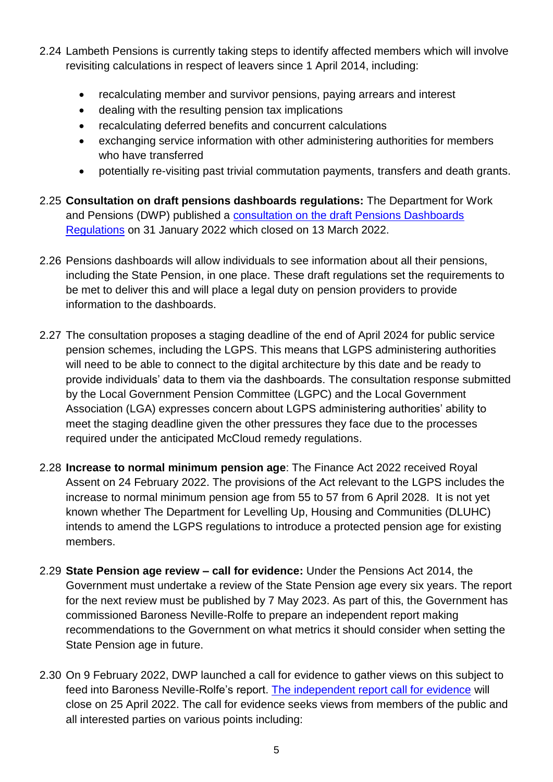- 2.24 Lambeth Pensions is currently taking steps to identify affected members which will involve revisiting calculations in respect of leavers since 1 April 2014, including:
	- recalculating member and survivor pensions, paying arrears and interest
	- dealing with the resulting pension tax implications
	- recalculating deferred benefits and concurrent calculations
	- exchanging service information with other administering authorities for members who have transferred
	- potentially re-visiting past trivial commutation payments, transfers and death grants.
- 2.25 **Consultation on draft pensions dashboards regulations:** The Department for Work and Pensions (DWP) published a [consultation on the draft Pensions Dashboards](https://www.gov.uk/government/consultations/pensions-dashboards-consultation-on-the-draft-pensions-dashboards-regulations-2022)  [Regulations](https://www.gov.uk/government/consultations/pensions-dashboards-consultation-on-the-draft-pensions-dashboards-regulations-2022) on 31 January 2022 which closed on 13 March 2022.
- 2.26 Pensions dashboards will allow individuals to see information about all their pensions, including the State Pension, in one place. These draft regulations set the requirements to be met to deliver this and will place a legal duty on pension providers to provide information to the dashboards.
- 2.27 The consultation proposes a staging deadline of the end of April 2024 for public service pension schemes, including the LGPS. This means that LGPS administering authorities will need to be able to connect to the digital architecture by this date and be ready to provide individuals' data to them via the dashboards. The consultation response submitted by the Local Government Pension Committee (LGPC) and the Local Government Association (LGA) expresses concern about LGPS administering authorities' ability to meet the staging deadline given the other pressures they face due to the processes required under the anticipated McCloud remedy regulations.
- 2.28 **Increase to normal minimum pension age**: The Finance Act 2022 received Royal Assent on 24 February 2022. The provisions of the Act relevant to the LGPS includes the increase to normal minimum pension age from 55 to 57 from 6 April 2028. It is not yet known whether The Department for Levelling Up, Housing and Communities (DLUHC) intends to amend the LGPS regulations to introduce a protected pension age for existing members.
- 2.29 **State Pension age review – call for evidence:** Under the Pensions Act 2014, the Government must undertake a review of the State Pension age every six years. The report for the next review must be published by 7 May 2023. As part of this, the Government has commissioned Baroness Neville-Rolfe to prepare an independent report making recommendations to the Government on what metrics it should consider when setting the State Pension age in future.
- 2.30 On 9 February 2022, DWP launched a call for evidence to gather views on this subject to feed into Baroness Neville-Rolfe's report. [The independent report call for evidence](https://www.gov.uk/government/consultations/second-state-pension-age-review-independent-report-call-for-evidence/second-state-pension-age-review-independent-report-call-for-evidence) will close on 25 April 2022. The call for evidence seeks views from members of the public and all interested parties on various points including: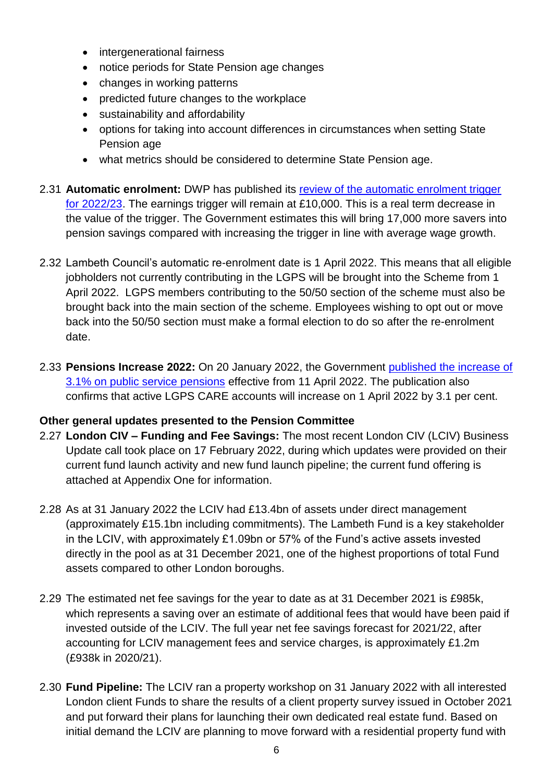- intergenerational fairness
- notice periods for State Pension age changes
- changes in working patterns
- predicted future changes to the workplace
- sustainability and affordability
- options for taking into account differences in circumstances when setting State Pension age
- what metrics should be considered to determine State Pension age.
- 2.31 **Automatic enrolment:** DWP has published its [review of the automatic enrolment trigger](https://www.gov.uk/government/publications/automatic-enrolment-review-of-the-earnings-trigger-and-qualifying-earnings-band-for-202223)  [for 2022/23.](https://www.gov.uk/government/publications/automatic-enrolment-review-of-the-earnings-trigger-and-qualifying-earnings-band-for-202223) The earnings trigger will remain at £10,000. This is a real term decrease in the value of the trigger. The Government estimates this will bring 17,000 more savers into pension savings compared with increasing the trigger in line with average wage growth.
- 2.32 Lambeth Council's automatic re-enrolment date is 1 April 2022. This means that all eligible jobholders not currently contributing in the LGPS will be brought into the Scheme from 1 April 2022. LGPS members contributing to the 50/50 section of the scheme must also be brought back into the main section of the scheme. Employees wishing to opt out or move back into the 50/50 section must make a formal election to do so after the re-enrolment date.
- 2.33 **Pensions Increase 2022:** On 20 January 2022, the Government [published the increase of](https://hansard.parliament.uk/Commons/2022-01-20/debates/22012054000009/PublicServicePensionSchemeIndexationAndRevaluation2022?highlight=pension)  3.1% on [public service pensions](https://hansard.parliament.uk/Commons/2022-01-20/debates/22012054000009/PublicServicePensionSchemeIndexationAndRevaluation2022?highlight=pension) effective from 11 April 2022. The publication also confirms that active LGPS CARE accounts will increase on 1 April 2022 by 3.1 per cent.

### **Other general updates presented to the Pension Committee**

- 2.27 **London CIV – Funding and Fee Savings:** The most recent London CIV (LCIV) Business Update call took place on 17 February 2022, during which updates were provided on their current fund launch activity and new fund launch pipeline; the current fund offering is attached at Appendix One for information.
- 2.28 As at 31 January 2022 the LCIV had £13.4bn of assets under direct management (approximately £15.1bn including commitments). The Lambeth Fund is a key stakeholder in the LCIV, with approximately £1.09bn or 57% of the Fund's active assets invested directly in the pool as at 31 December 2021, one of the highest proportions of total Fund assets compared to other London boroughs.
- 2.29 The estimated net fee savings for the year to date as at 31 December 2021 is £985k, which represents a saving over an estimate of additional fees that would have been paid if invested outside of the LCIV. The full year net fee savings forecast for 2021/22, after accounting for LCIV management fees and service charges, is approximately £1.2m (£938k in 2020/21).
- 2.30 **Fund Pipeline:** The LCIV ran a property workshop on 31 January 2022 with all interested London client Funds to share the results of a client property survey issued in October 2021 and put forward their plans for launching their own dedicated real estate fund. Based on initial demand the LCIV are planning to move forward with a residential property fund with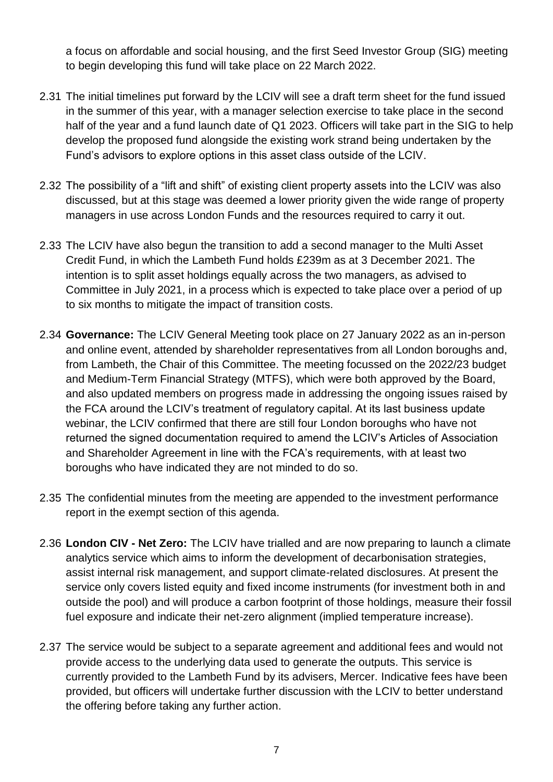a focus on affordable and social housing, and the first Seed Investor Group (SIG) meeting to begin developing this fund will take place on 22 March 2022.

- 2.31 The initial timelines put forward by the LCIV will see a draft term sheet for the fund issued in the summer of this year, with a manager selection exercise to take place in the second half of the year and a fund launch date of Q1 2023. Officers will take part in the SIG to help develop the proposed fund alongside the existing work strand being undertaken by the Fund's advisors to explore options in this asset class outside of the LCIV.
- 2.32 The possibility of a "lift and shift" of existing client property assets into the LCIV was also discussed, but at this stage was deemed a lower priority given the wide range of property managers in use across London Funds and the resources required to carry it out.
- 2.33 The LCIV have also begun the transition to add a second manager to the Multi Asset Credit Fund, in which the Lambeth Fund holds £239m as at 3 December 2021. The intention is to split asset holdings equally across the two managers, as advised to Committee in July 2021, in a process which is expected to take place over a period of up to six months to mitigate the impact of transition costs.
- 2.34 **Governance:** The LCIV General Meeting took place on 27 January 2022 as an in-person and online event, attended by shareholder representatives from all London boroughs and, from Lambeth, the Chair of this Committee. The meeting focussed on the 2022/23 budget and Medium-Term Financial Strategy (MTFS), which were both approved by the Board, and also updated members on progress made in addressing the ongoing issues raised by the FCA around the LCIV's treatment of regulatory capital. At its last business update webinar, the LCIV confirmed that there are still four London boroughs who have not returned the signed documentation required to amend the LCIV's Articles of Association and Shareholder Agreement in line with the FCA's requirements, with at least two boroughs who have indicated they are not minded to do so.
- 2.35 The confidential minutes from the meeting are appended to the investment performance report in the exempt section of this agenda.
- 2.36 **London CIV - Net Zero:** The LCIV have trialled and are now preparing to launch a climate analytics service which aims to inform the development of decarbonisation strategies, assist internal risk management, and support climate-related disclosures. At present the service only covers listed equity and fixed income instruments (for investment both in and outside the pool) and will produce a carbon footprint of those holdings, measure their fossil fuel exposure and indicate their net-zero alignment (implied temperature increase).
- 2.37 The service would be subject to a separate agreement and additional fees and would not provide access to the underlying data used to generate the outputs. This service is currently provided to the Lambeth Fund by its advisers, Mercer. Indicative fees have been provided, but officers will undertake further discussion with the LCIV to better understand the offering before taking any further action.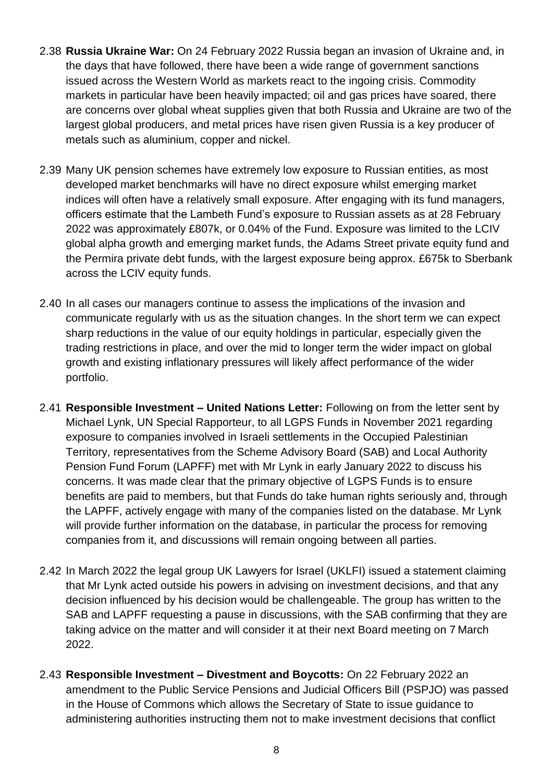- 2.38 **Russia Ukraine War:** On 24 February 2022 Russia began an invasion of Ukraine and, in the days that have followed, there have been a wide range of government sanctions issued across the Western World as markets react to the ingoing crisis. Commodity markets in particular have been heavily impacted; oil and gas prices have soared, there are concerns over global wheat supplies given that both Russia and Ukraine are two of the largest global producers, and metal prices have risen given Russia is a key producer of metals such as aluminium, copper and nickel.
- 2.39 Many UK pension schemes have extremely low exposure to Russian entities, as most developed market benchmarks will have no direct exposure whilst emerging market indices will often have a relatively small exposure. After engaging with its fund managers, officers estimate that the Lambeth Fund's exposure to Russian assets as at 28 February 2022 was approximately £807k, or 0.04% of the Fund. Exposure was limited to the LCIV global alpha growth and emerging market funds, the Adams Street private equity fund and the Permira private debt funds, with the largest exposure being approx. £675k to Sberbank across the LCIV equity funds.
- 2.40 In all cases our managers continue to assess the implications of the invasion and communicate regularly with us as the situation changes. In the short term we can expect sharp reductions in the value of our equity holdings in particular, especially given the trading restrictions in place, and over the mid to longer term the wider impact on global growth and existing inflationary pressures will likely affect performance of the wider portfolio.
- 2.41 **Responsible Investment – United Nations Letter:** Following on from the letter sent by Michael Lynk, UN Special Rapporteur, to all LGPS Funds in November 2021 regarding exposure to companies involved in Israeli settlements in the Occupied Palestinian Territory, representatives from the Scheme Advisory Board (SAB) and Local Authority Pension Fund Forum (LAPFF) met with Mr Lynk in early January 2022 to discuss his concerns. It was made clear that the primary objective of LGPS Funds is to ensure benefits are paid to members, but that Funds do take human rights seriously and, through the LAPFF, actively engage with many of the companies listed on the database. Mr Lynk will provide further information on the database, in particular the process for removing companies from it, and discussions will remain ongoing between all parties.
- 2.42 In March 2022 the legal group UK Lawyers for Israel (UKLFI) issued a statement claiming that Mr Lynk acted outside his powers in advising on investment decisions, and that any decision influenced by his decision would be challengeable. The group has written to the SAB and LAPFF requesting a pause in discussions, with the SAB confirming that they are taking advice on the matter and will consider it at their next Board meeting on 7 March 2022.
- 2.43 **Responsible Investment – Divestment and Boycotts:** On 22 February 2022 an amendment to the Public Service Pensions and Judicial Officers Bill (PSPJO) was passed in the House of Commons which allows the Secretary of State to issue guidance to administering authorities instructing them not to make investment decisions that conflict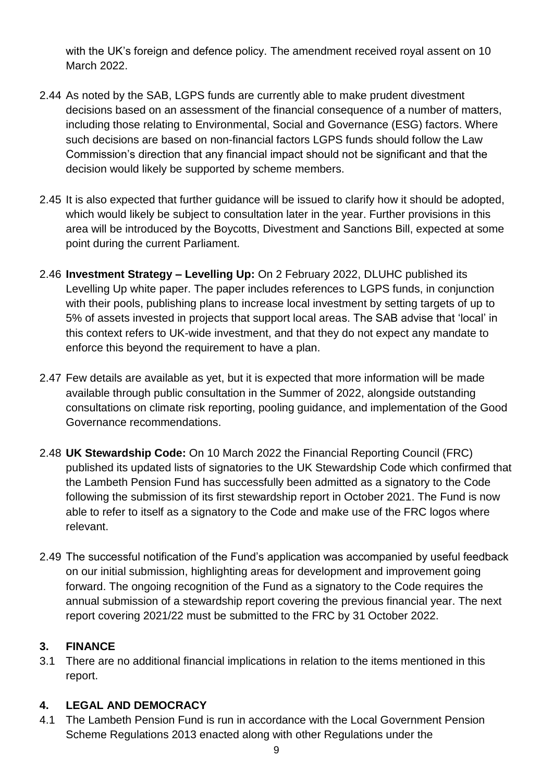with the UK's foreign and defence policy. The amendment received royal assent on 10 March 2022.

- 2.44 As noted by the SAB, LGPS funds are currently able to make prudent divestment decisions based on an assessment of the financial consequence of a number of matters, including those relating to Environmental, Social and Governance (ESG) factors. Where such decisions are based on non-financial factors LGPS funds should follow the Law Commission's direction that any financial impact should not be significant and that the decision would likely be supported by scheme members.
- 2.45 It is also expected that further guidance will be issued to clarify how it should be adopted, which would likely be subject to consultation later in the year. Further provisions in this area will be introduced by the Boycotts, Divestment and Sanctions Bill, expected at some point during the current Parliament.
- 2.46 **Investment Strategy – Levelling Up:** On 2 February 2022, DLUHC published its Levelling Up white paper. The paper includes references to LGPS funds, in conjunction with their pools, publishing plans to increase local investment by setting targets of up to 5% of assets invested in projects that support local areas. The SAB advise that 'local' in this context refers to UK-wide investment, and that they do not expect any mandate to enforce this beyond the requirement to have a plan.
- 2.47 Few details are available as yet, but it is expected that more information will be made available through public consultation in the Summer of 2022, alongside outstanding consultations on climate risk reporting, pooling guidance, and implementation of the Good Governance recommendations.
- 2.48 **UK Stewardship Code:** On 10 March 2022 the Financial Reporting Council (FRC) published its updated lists of signatories to the UK Stewardship Code which confirmed that the Lambeth Pension Fund has successfully been admitted as a signatory to the Code following the submission of its first stewardship report in October 2021. The Fund is now able to refer to itself as a signatory to the Code and make use of the FRC logos where relevant.
- 2.49 The successful notification of the Fund's application was accompanied by useful feedback on our initial submission, highlighting areas for development and improvement going forward. The ongoing recognition of the Fund as a signatory to the Code requires the annual submission of a stewardship report covering the previous financial year. The next report covering 2021/22 must be submitted to the FRC by 31 October 2022.

# **3. FINANCE**

3.1 There are no additional financial implications in relation to the items mentioned in this report.

# **4. LEGAL AND DEMOCRACY**

4.1 The Lambeth Pension Fund is run in accordance with the Local Government Pension Scheme Regulations 2013 enacted along with other Regulations under the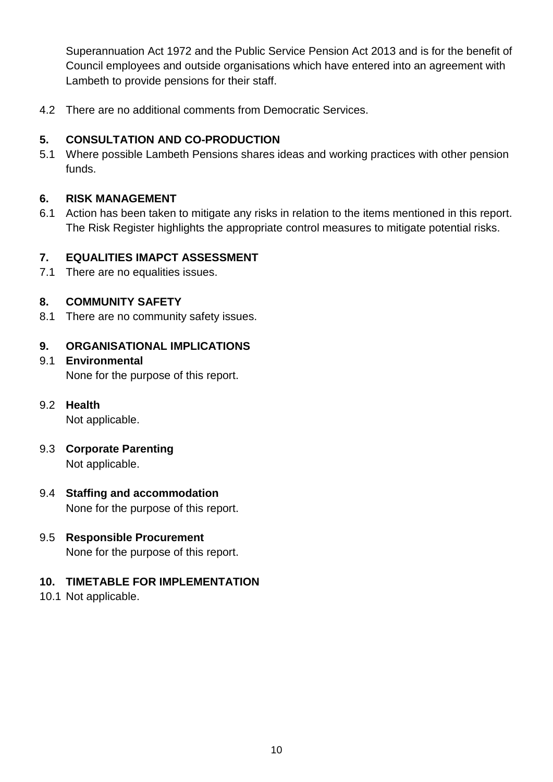Superannuation Act 1972 and the Public Service Pension Act 2013 and is for the benefit of Council employees and outside organisations which have entered into an agreement with Lambeth to provide pensions for their staff.

4.2 There are no additional comments from Democratic Services.

## **5. CONSULTATION AND CO-PRODUCTION**

5.1 Where possible Lambeth Pensions shares ideas and working practices with other pension funds.

## **6. RISK MANAGEMENT**

6.1 Action has been taken to mitigate any risks in relation to the items mentioned in this report. The Risk Register highlights the appropriate control measures to mitigate potential risks.

## **7. EQUALITIES IMAPCT ASSESSMENT**

7.1 There are no equalities issues.

## **8. COMMUNITY SAFETY**

8.1 There are no community safety issues.

## **9. ORGANISATIONAL IMPLICATIONS**

# 9.1 **Environmental** None for the purpose of this report.

## 9.2 **Health**

Not applicable.

9.3 **Corporate Parenting** Not applicable.

## 9.4 **Staffing and accommodation** None for the purpose of this report.

### 9.5 **Responsible Procurement** None for the purpose of this report.

## **10. TIMETABLE FOR IMPLEMENTATION**

10.1 Not applicable.